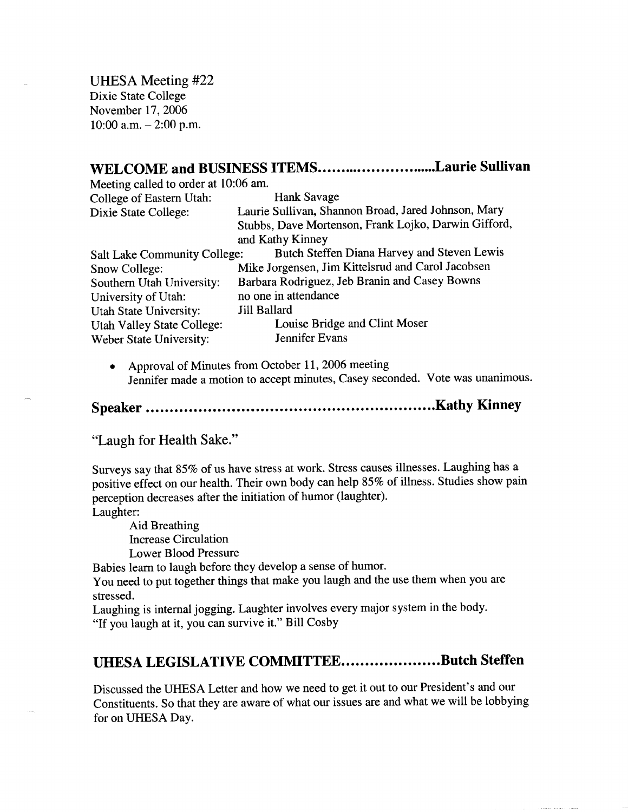UHESA Meeting #22 Dixie State College November 17, 2006  $10:00$  a.m.  $-2:00$  p.m.

## WELCOME and BUSINESS ITEMS...........................Laurie Sullivan

| Meeting called to order at 10:06 am.                                               |                                                      |
|------------------------------------------------------------------------------------|------------------------------------------------------|
| College of Eastern Utah:                                                           | <b>Hank Savage</b>                                   |
| Dixie State College:                                                               | Laurie Sullivan, Shannon Broad, Jared Johnson, Mary  |
|                                                                                    | Stubbs, Dave Mortenson, Frank Lojko, Darwin Gifford, |
|                                                                                    | and Kathy Kinney                                     |
| Butch Steffen Diana Harvey and Steven Lewis<br><b>Salt Lake Community College:</b> |                                                      |
| Snow College:                                                                      | Mike Jorgensen, Jim Kittelsrud and Carol Jacobsen    |
| Southern Utah University:                                                          | Barbara Rodriguez, Jeb Branin and Casey Bowns        |
| University of Utah:                                                                | no one in attendance                                 |
| Utah State University:                                                             | <b>Jill Ballard</b>                                  |
| Utah Valley State College:                                                         | Louise Bridge and Clint Moser                        |
| Weber State University:                                                            | Jennifer Evans                                       |
|                                                                                    |                                                      |

• Approval of Minutes from October 11, 2006 meeting Jennifer made a motion to accept minutes, Casey seconded. Vote was unanimous.

## **Speaker Kathy Kinney**

"Laugh for Health Sake."

Surveys say that 85% of us have stress at work. Stress causes illnesses. Laughing has a positive effect on our health. Their own body can help 85% of illness. Studies show pain perception decreases after the initiation of humor (laughter).

Laughter:

Aid Breathing Increase Circulation Lower Blood Pressure

Babies learn to laugh before they develop a sense of humor.

You need to put together things that make you laugh and the use them when you are stressed.

Laughing is internal jogging. Laughter involves every major system in the body. "If you laugh at it, you can survive it." Bill Cosby

# **UHESA LEGISLATIVE COMMITTEE....................Butch Steffen**

Discussed the UHESA Letter and how we need to get it out to our President's and our Constituents. So that they are aware of what our issues are and what we will be lobbying for on UHESA Day.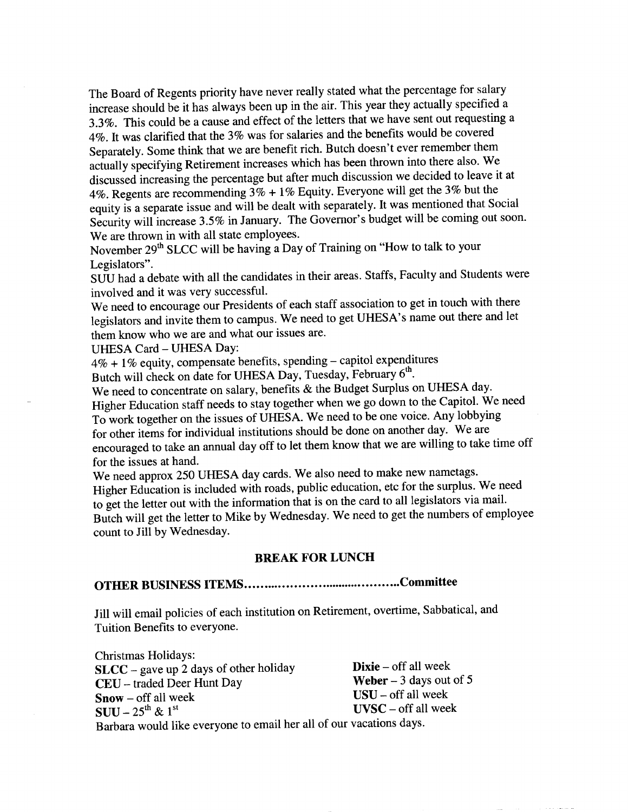The Board of Regents priority have never really stated what the percentage for salary increase should be it has always been up in the air. This year they actually specified a 3.3%. This could be a cause and effect of the letters that we have sent out requesting a 4%. It was clarified that the 3% was for salaries and the benefits would be covered Separately. Some think that we are benefit rich. Butch doesn't ever remember them actually specifying Retirement increases which has been thrown into there also. We discussed increasing the percentage but after much discussion we decided to leave it at 4%. Regents are recommending  $3\% + 1\%$  Equity. Everyone will get the 3% but the equity is a separate issue and will be dealt with separately. It was mentioned that Social Security will increase 3.5% in January. The Governor's budget will be coming out soon. We are thrown in with all state employees.

November 29<sup>th</sup> SLCC will be having a Day of Training on "How to talk to your Legislators".

SUU had a debate with all the candidates in their areas. Staffs, Faculty and Students were involved and it was very successful.

We need to encourage our Presidents of each staff association to get in touch with there legislators and invite them to campus. We need to get UHESA's name out there and let them know who we are and what our issues are.

UHESA Card - UHESA Day:

 $4\% + 1\%$  equity, compensate benefits, spending - capitol expenditures

Butch will check on date for UHESA Day, Tuesday, February 6<sup>th</sup>.

We need to concentrate on salary, benefits & the Budget Surplus on UHESA day. Higher Education staff needs to stay together when we go down to the Capitol. We need To work together on the issues of UHESA. We need to be one voice. Any lobbying for other items for individual institutions should be done on another day. We are encouraged to take an annual day off to let them know that we are willing to take time off for the issues at hand.

We need approx 250 UHESA day cards. We also need to make new nametags. Higher Education is included with roads, public education, etc for the surplus. We need to get the letter out with the information that is on the card to all legislators via mail. Butch will get the letter to Mike by Wednesday. We need to get the numbers of employee count to Jill by Wednesday.

#### **BREAK FOR LUNCH**

## **OTHER BUSINESS ITEMS Committee**

Jill will email policies of each institution on Retirement, overtime, Sabbatical, and Tuition Benefits to everyone.

Christmas Holidays: **SLCC** – gave up 2 days of other holiday **Dixie** – off all week CEU - traded Deer Hunt Day **Weber** - 3 days out of 5 **Snow** – off all week USU – off all week  $SUU - 25<sup>th</sup> \& 1<sup>st</sup>$  UVSC - off all week Barbara would like everyone to email her all of our vacations days.